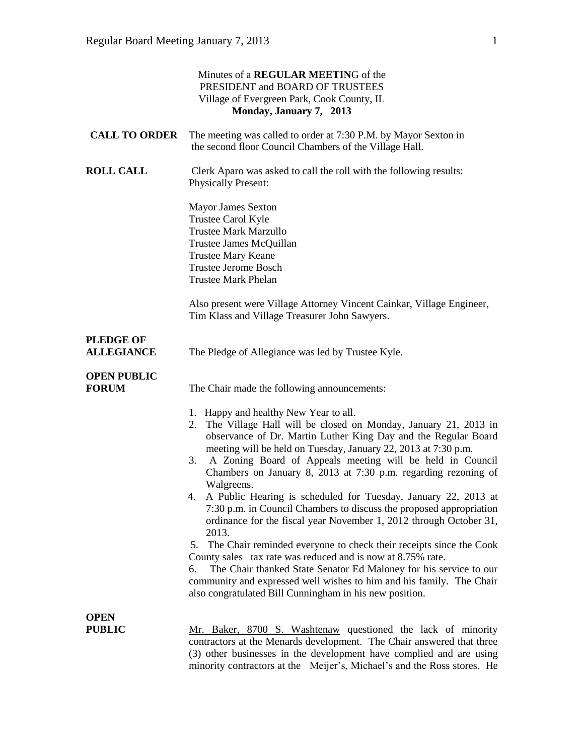| Minutes of a REGULAR MEETING of the<br>PRESIDENT and BOARD OF TRUSTEES<br>Village of Evergreen Park, Cook County, IL<br>Monday, January 7, 2013 |                                                                                                                                                                                                                                                                                                                                                                                                                                                                                                                                                                                                                                                                                                                                                                                                                                                                                                                                                                                    |  |
|-------------------------------------------------------------------------------------------------------------------------------------------------|------------------------------------------------------------------------------------------------------------------------------------------------------------------------------------------------------------------------------------------------------------------------------------------------------------------------------------------------------------------------------------------------------------------------------------------------------------------------------------------------------------------------------------------------------------------------------------------------------------------------------------------------------------------------------------------------------------------------------------------------------------------------------------------------------------------------------------------------------------------------------------------------------------------------------------------------------------------------------------|--|
| <b>CALL TO ORDER</b>                                                                                                                            | The meeting was called to order at 7:30 P.M. by Mayor Sexton in<br>the second floor Council Chambers of the Village Hall.                                                                                                                                                                                                                                                                                                                                                                                                                                                                                                                                                                                                                                                                                                                                                                                                                                                          |  |
| <b>ROLL CALL</b>                                                                                                                                | Clerk Aparo was asked to call the roll with the following results:<br><b>Physically Present:</b>                                                                                                                                                                                                                                                                                                                                                                                                                                                                                                                                                                                                                                                                                                                                                                                                                                                                                   |  |
|                                                                                                                                                 | <b>Mayor James Sexton</b><br>Trustee Carol Kyle<br><b>Trustee Mark Marzullo</b><br>Trustee James McQuillan<br><b>Trustee Mary Keane</b><br><b>Trustee Jerome Bosch</b><br><b>Trustee Mark Phelan</b>                                                                                                                                                                                                                                                                                                                                                                                                                                                                                                                                                                                                                                                                                                                                                                               |  |
|                                                                                                                                                 | Also present were Village Attorney Vincent Cainkar, Village Engineer,<br>Tim Klass and Village Treasurer John Sawyers.                                                                                                                                                                                                                                                                                                                                                                                                                                                                                                                                                                                                                                                                                                                                                                                                                                                             |  |
| <b>PLEDGE OF</b><br><b>ALLEGIANCE</b>                                                                                                           | The Pledge of Allegiance was led by Trustee Kyle.                                                                                                                                                                                                                                                                                                                                                                                                                                                                                                                                                                                                                                                                                                                                                                                                                                                                                                                                  |  |
| <b>OPEN PUBLIC</b><br><b>FORUM</b>                                                                                                              | The Chair made the following announcements:                                                                                                                                                                                                                                                                                                                                                                                                                                                                                                                                                                                                                                                                                                                                                                                                                                                                                                                                        |  |
|                                                                                                                                                 | 1. Happy and healthy New Year to all.<br>2. The Village Hall will be closed on Monday, January 21, 2013 in<br>observance of Dr. Martin Luther King Day and the Regular Board<br>meeting will be held on Tuesday, January 22, 2013 at 7:30 p.m.<br>A Zoning Board of Appeals meeting will be held in Council<br>3.<br>Chambers on January 8, 2013 at 7:30 p.m. regarding rezoning of<br>Walgreens.<br>4. A Public Hearing is scheduled for Tuesday, January 22, 2013 at<br>7:30 p.m. in Council Chambers to discuss the proposed appropriation<br>ordinance for the fiscal year November 1, 2012 through October 31,<br>2013.<br>5. The Chair reminded everyone to check their receipts since the Cook<br>County sales tax rate was reduced and is now at 8.75% rate.<br>The Chair thanked State Senator Ed Maloney for his service to our<br>6.<br>community and expressed well wishes to him and his family. The Chair<br>also congratulated Bill Cunningham in his new position. |  |
| <b>OPEN</b><br><b>PUBLIC</b>                                                                                                                    | Mr. Baker, 8700 S. Washtenaw questioned the lack of minority<br>contractors at the Menards development. The Chair answered that three<br>(3) other businesses in the development have complied and are using<br>minority contractors at the Meijer's, Michael's and the Ross stores. He                                                                                                                                                                                                                                                                                                                                                                                                                                                                                                                                                                                                                                                                                            |  |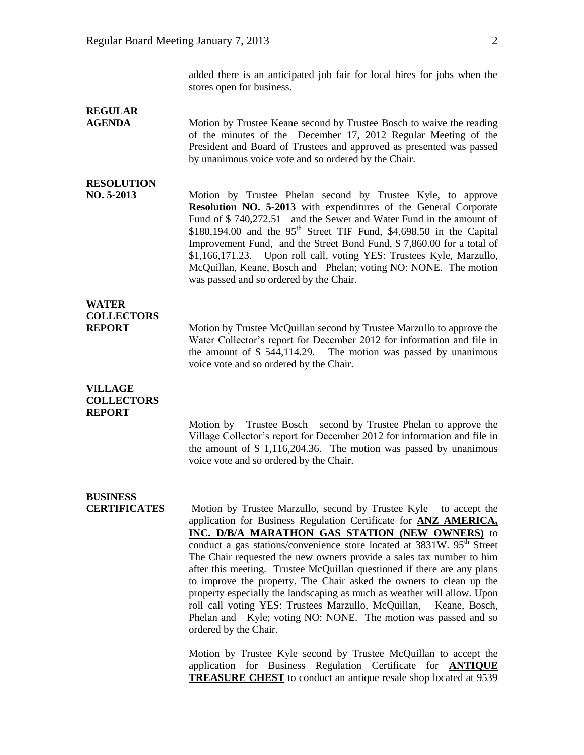# **REGULAR**

**AGENDA** Motion by Trustee Keane second by Trustee Bosch to waive the reading of the minutes of the December 17, 2012 Regular Meeting of the President and Board of Trustees and approved as presented was passed by unanimous voice vote and so ordered by the Chair.

### **RESOLUTION**

**NO. 5-2013** Motion by Trustee Phelan second by Trustee Kyle, to approve **Resolution NO. 5-2013** with expenditures of the General Corporate Fund of \$ 740,272.51 and the Sewer and Water Fund in the amount of  $$180,194.00$  and the  $95<sup>th</sup>$  Street TIF Fund,  $$4,698.50$  in the Capital Improvement Fund, and the Street Bond Fund, \$ 7,860.00 for a total of \$1,166,171.23. Upon roll call, voting YES: Trustees Kyle, Marzullo, McQuillan, Keane, Bosch and Phelan; voting NO: NONE. The motion was passed and so ordered by the Chair.

## **WATER COLLECTORS**

**REPORT** Motion by Trustee McQuillan second by Trustee Marzullo to approve the Water Collector's report for December 2012 for information and file in the amount of \$ 544,114.29. The motion was passed by unanimous voice vote and so ordered by the Chair.

#### **VILLAGE COLLECTORS REPORT**

Motion by Trustee Bosch second by Trustee Phelan to approve the Village Collector's report for December 2012 for information and file in the amount of \$ 1,116,204.36. The motion was passed by unanimous voice vote and so ordered by the Chair.

# **BUSINESS**

**CERTIFICATES** Motion by Trustee Marzullo, second by Trustee Kyle to accept the application for Business Regulation Certificate for **ANZ AMERICA, INC. D/B/A MARATHON GAS STATION (NEW OWNERS)** to conduct a gas stations/convenience store located at  $3831W$ .  $95<sup>th</sup>$  Street The Chair requested the new owners provide a sales tax number to him after this meeting. Trustee McQuillan questioned if there are any plans to improve the property. The Chair asked the owners to clean up the property especially the landscaping as much as weather will allow. Upon roll call voting YES: Trustees Marzullo, McQuillan, Keane, Bosch, Phelan and Kyle; voting NO: NONE. The motion was passed and so ordered by the Chair.

> Motion by Trustee Kyle second by Trustee McQuillan to accept the application for Business Regulation Certificate for **ANTIQUE TREASURE CHEST** to conduct an antique resale shop located at 9539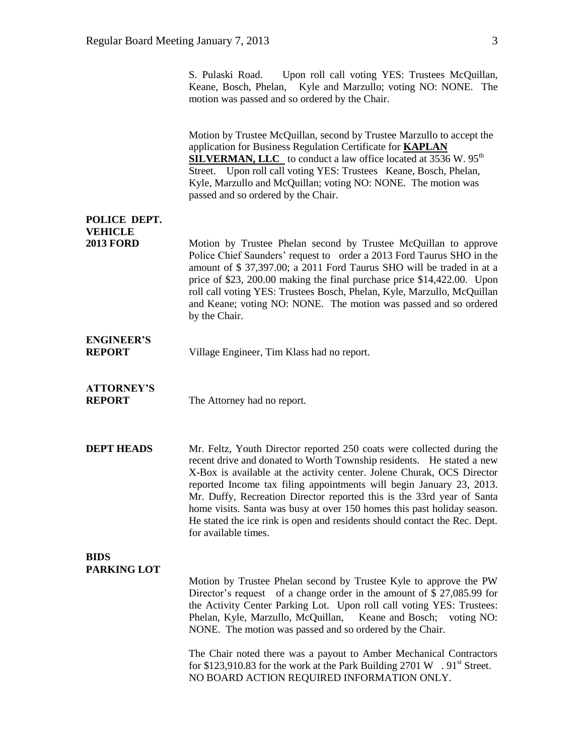Keane, Bosch, Phelan, Kyle and Marzullo; voting NO: NONE. The motion was passed and so ordered by the Chair. Motion by Trustee McQuillan, second by Trustee Marzullo to accept the application for Business Regulation Certificate for **KAPLAN SILVERMAN, LLC** to conduct a law office located at 3536 W. 95<sup>th</sup> Street. Upon roll call voting YES: Trustees Keane, Bosch, Phelan, Kyle, Marzullo and McQuillan; voting NO: NONE. The motion was passed and so ordered by the Chair. **POLICE DEPT. VEHICLE 2013 FORD** Motion by Trustee Phelan second by Trustee McQuillan to approve Police Chief Saunders' request to order a 2013 Ford Taurus SHO in the amount of \$ 37,397.00; a 2011 Ford Taurus SHO will be traded in at a price of \$23, 200.00 making the final purchase price \$14,422.00. Upon roll call voting YES: Trustees Bosch, Phelan, Kyle, Marzullo, McQuillan and Keane; voting NO: NONE. The motion was passed and so ordered by the Chair. **ENGINEER'S REPORT** Village Engineer, Tim Klass had no report. **ATTORNEY'S REPORT** The Attorney had no report. **DEPT HEADS** Mr. Feltz, Youth Director reported 250 coats were collected during the recent drive and donated to Worth Township residents. He stated a new X-Box is available at the activity center. Jolene Churak, OCS Director reported Income tax filing appointments will begin January 23, 2013. Mr. Duffy, Recreation Director reported this is the 33rd year of Santa home visits. Santa was busy at over 150 homes this past holiday season. He stated the ice rink is open and residents should contact the Rec. Dept. for available times. **BIDS PARKING LOT** Motion by Trustee Phelan second by Trustee Kyle to approve the PW Director's request of a change order in the amount of \$ 27,085.99 for the Activity Center Parking Lot. Upon roll call voting YES: Trustees: Phelan, Kyle, Marzullo, McQuillan, Keane and Bosch; voting NO:

S. Pulaski Road. Upon roll call voting YES: Trustees McQuillan,

The Chair noted there was a payout to Amber Mechanical Contractors for \$123,910.83 for the work at the Park Building 2701 W .  $91^{\text{st}}$  Street. NO BOARD ACTION REQUIRED INFORMATION ONLY.

NONE. The motion was passed and so ordered by the Chair.